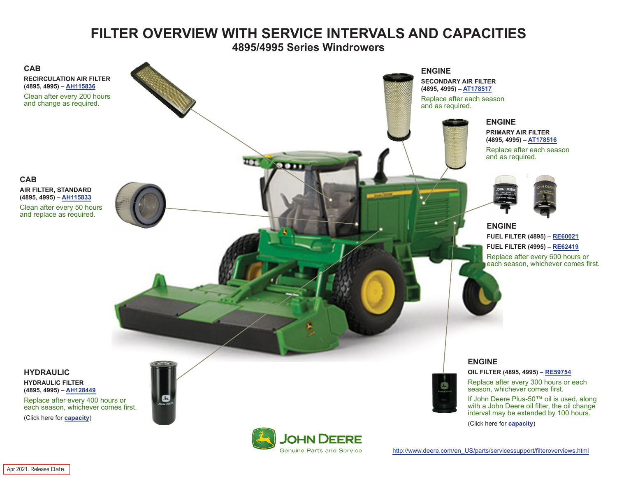## **FILTER OVERVIEW WITH SERVICE INTERVALS AND CAPACITIES**

**4895/4995 Series Windrowers**

<span id="page-0-0"></span>